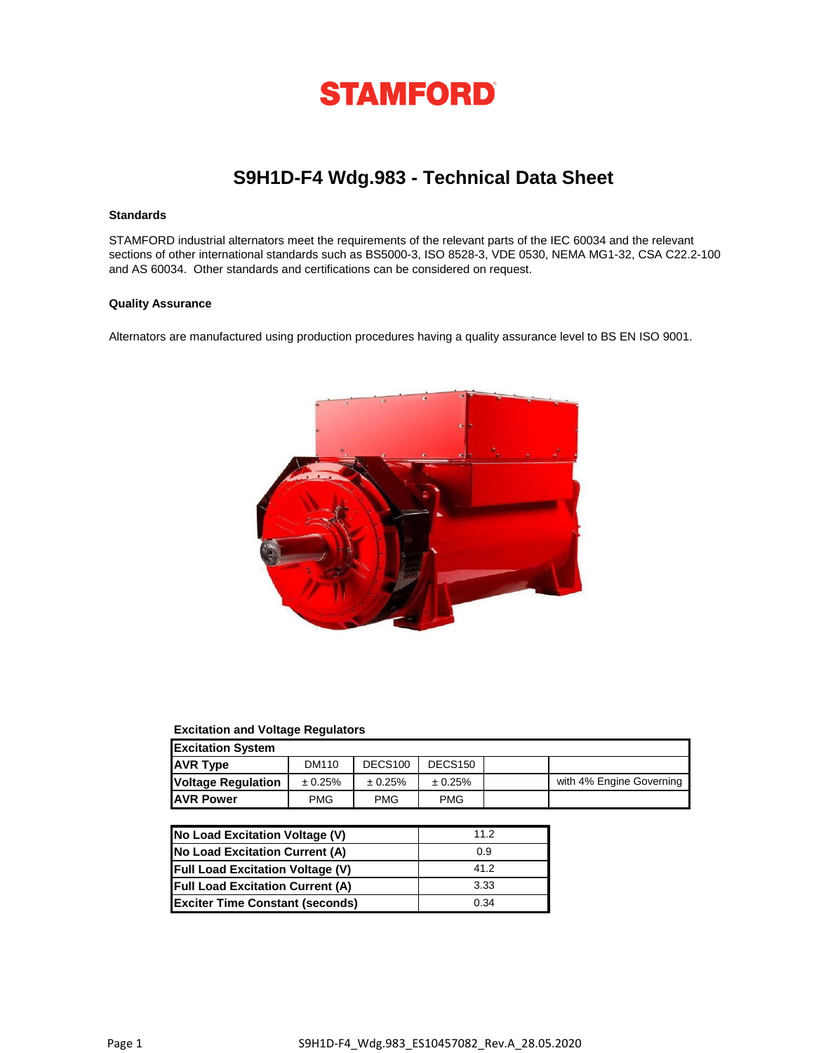

# **S9H1D-F4 Wdg.983 - Technical Data Sheet**

# **Standards**

STAMFORD industrial alternators meet the requirements of the relevant parts of the IEC 60034 and the relevant sections of other international standards such as BS5000-3, ISO 8528-3, VDE 0530, NEMA MG1-32, CSA C22.2-100 and AS 60034. Other standards and certifications can be considered on request.

### **Quality Assurance**

Alternators are manufactured using production procedures having a quality assurance level to BS EN ISO 9001.



## **Excitation and Voltage Regulators**

| <b>Excitation System</b>                                               |            |            |            |  |                          |  |  |  |
|------------------------------------------------------------------------|------------|------------|------------|--|--------------------------|--|--|--|
| <b>AVR Type</b><br>DECS <sub>100</sub><br>DECS <sub>150</sub><br>DM110 |            |            |            |  |                          |  |  |  |
| <b>Voltage Regulation</b>                                              | ± 0.25%    | ± 0.25%    | ± 0.25%    |  | with 4% Engine Governing |  |  |  |
| <b>JAVR Power</b>                                                      | <b>PMG</b> | <b>PMG</b> | <b>PMG</b> |  |                          |  |  |  |

| No Load Excitation Voltage (V)          | 11.2 |
|-----------------------------------------|------|
| No Load Excitation Current (A)          | 0.9  |
| <b>Full Load Excitation Voltage (V)</b> | 41.2 |
| <b>Full Load Excitation Current (A)</b> | 3.33 |
| <b>Exciter Time Constant (seconds)</b>  | 0.34 |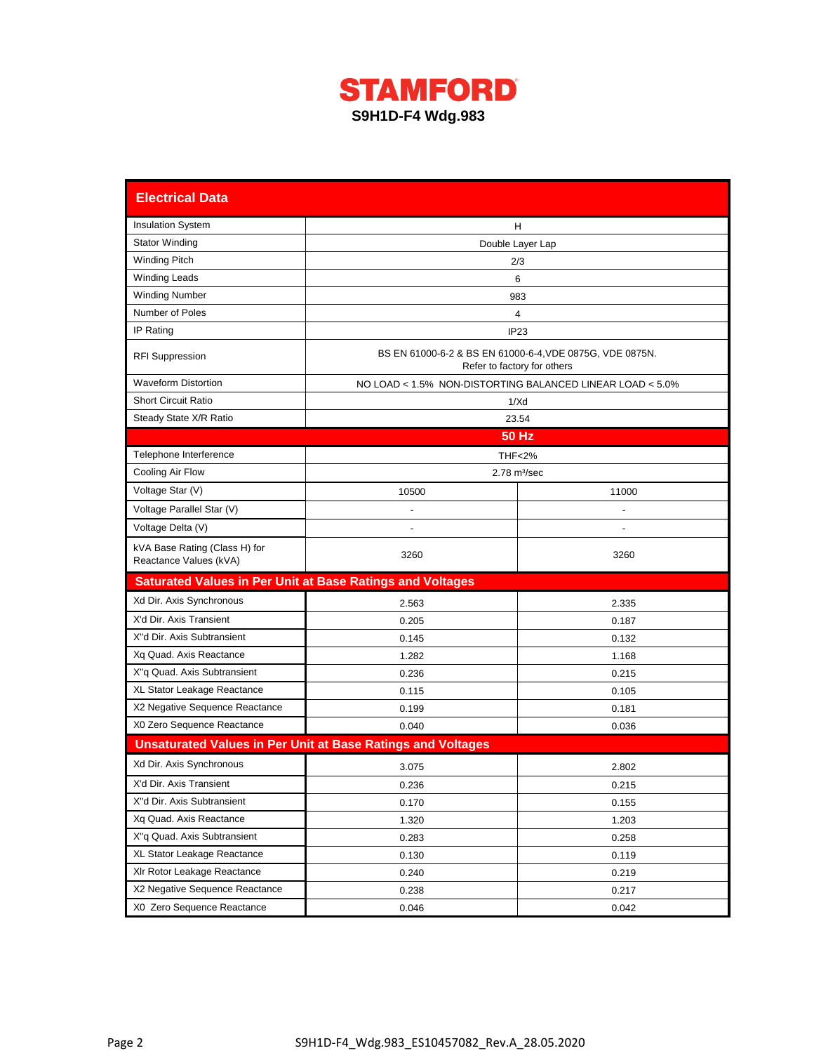

| <b>Electrical Data</b>                                           |                                                                    |                                                           |  |  |  |  |  |  |
|------------------------------------------------------------------|--------------------------------------------------------------------|-----------------------------------------------------------|--|--|--|--|--|--|
| <b>Insulation System</b>                                         |                                                                    | H                                                         |  |  |  |  |  |  |
| <b>Stator Winding</b>                                            | Double Layer Lap                                                   |                                                           |  |  |  |  |  |  |
| <b>Winding Pitch</b>                                             |                                                                    | 2/3                                                       |  |  |  |  |  |  |
| <b>Winding Leads</b>                                             |                                                                    | 6                                                         |  |  |  |  |  |  |
| <b>Winding Number</b>                                            |                                                                    | 983                                                       |  |  |  |  |  |  |
| Number of Poles                                                  |                                                                    | 4                                                         |  |  |  |  |  |  |
| IP Rating                                                        |                                                                    | IP23                                                      |  |  |  |  |  |  |
| <b>RFI Suppression</b>                                           | BS EN 61000-6-2 & BS EN 61000-6-4, VDE 0875G, VDE 0875N.           | Refer to factory for others                               |  |  |  |  |  |  |
| <b>Waveform Distortion</b>                                       |                                                                    | NO LOAD < 1.5% NON-DISTORTING BALANCED LINEAR LOAD < 5.0% |  |  |  |  |  |  |
| <b>Short Circuit Ratio</b>                                       |                                                                    | 1/Xd                                                      |  |  |  |  |  |  |
| Steady State X/R Ratio                                           |                                                                    | 23.54                                                     |  |  |  |  |  |  |
|                                                                  |                                                                    | <b>50 Hz</b>                                              |  |  |  |  |  |  |
| Telephone Interference                                           |                                                                    | <b>THF&lt;2%</b>                                          |  |  |  |  |  |  |
| Cooling Air Flow                                                 |                                                                    | $2.78$ m $\frac{3}{sec}$                                  |  |  |  |  |  |  |
| Voltage Star (V)                                                 | 10500                                                              | 11000                                                     |  |  |  |  |  |  |
| Voltage Parallel Star (V)                                        |                                                                    |                                                           |  |  |  |  |  |  |
| Voltage Delta (V)                                                |                                                                    |                                                           |  |  |  |  |  |  |
| kVA Base Rating (Class H) for<br>Reactance Values (kVA)          | 3260                                                               | 3260                                                      |  |  |  |  |  |  |
| <b>Saturated Values in Per Unit at Base Ratings and Voltages</b> |                                                                    |                                                           |  |  |  |  |  |  |
| Xd Dir. Axis Synchronous                                         | 2.563                                                              | 2.335                                                     |  |  |  |  |  |  |
| X'd Dir. Axis Transient                                          | 0.205                                                              | 0.187                                                     |  |  |  |  |  |  |
| X"d Dir. Axis Subtransient                                       | 0.145                                                              | 0.132                                                     |  |  |  |  |  |  |
| Xq Quad. Axis Reactance                                          | 1.282                                                              | 1.168                                                     |  |  |  |  |  |  |
| X"q Quad. Axis Subtransient                                      | 0.236                                                              | 0.215                                                     |  |  |  |  |  |  |
| XL Stator Leakage Reactance                                      | 0.115                                                              | 0.105                                                     |  |  |  |  |  |  |
| X2 Negative Sequence Reactance                                   | 0.199                                                              | 0.181                                                     |  |  |  |  |  |  |
| X0 Zero Sequence Reactance                                       | 0.040                                                              | 0.036                                                     |  |  |  |  |  |  |
|                                                                  | <b>Unsaturated Values in Per Unit at Base Ratings and Voltages</b> |                                                           |  |  |  |  |  |  |
| Xd Dir. Axis Synchronous                                         | 3.075                                                              | 2.802                                                     |  |  |  |  |  |  |
| X'd Dir. Axis Transient                                          | 0.236                                                              | 0.215                                                     |  |  |  |  |  |  |
| X"d Dir. Axis Subtransient                                       | 0.170                                                              | 0.155                                                     |  |  |  |  |  |  |
| Xq Quad. Axis Reactance                                          | 1.320                                                              | 1.203                                                     |  |  |  |  |  |  |
| X"q Quad. Axis Subtransient                                      | 0.283                                                              | 0.258                                                     |  |  |  |  |  |  |
| XL Stator Leakage Reactance                                      | 0.130                                                              | 0.119                                                     |  |  |  |  |  |  |
| XIr Rotor Leakage Reactance                                      | 0.240                                                              | 0.219                                                     |  |  |  |  |  |  |
| X2 Negative Sequence Reactance                                   | 0.238                                                              | 0.217                                                     |  |  |  |  |  |  |
| X0 Zero Sequence Reactance                                       | 0.046                                                              | 0.042                                                     |  |  |  |  |  |  |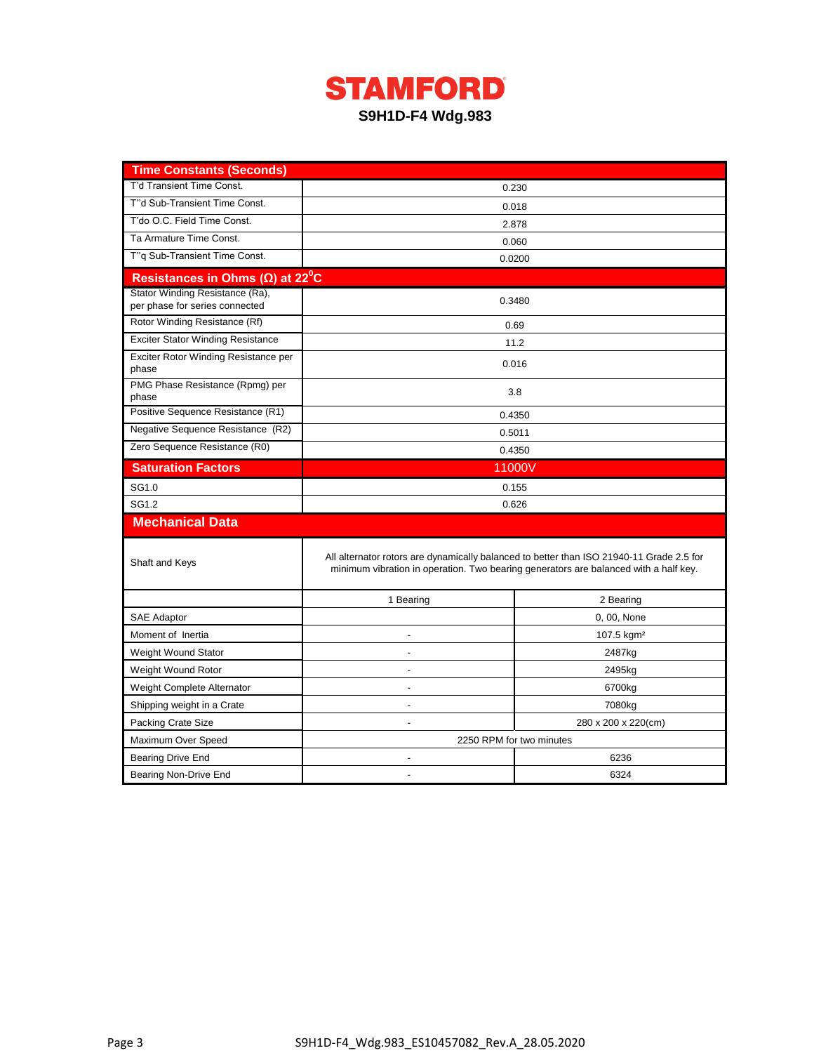

| <b>Time Constants (Seconds)</b>                                   |                          |                                                                                                                                                                                  |  |  |  |  |
|-------------------------------------------------------------------|--------------------------|----------------------------------------------------------------------------------------------------------------------------------------------------------------------------------|--|--|--|--|
| T'd Transient Time Const.                                         |                          | 0.230                                                                                                                                                                            |  |  |  |  |
| T"d Sub-Transient Time Const.                                     | 0.018                    |                                                                                                                                                                                  |  |  |  |  |
| T'do O.C. Field Time Const.                                       | 2.878                    |                                                                                                                                                                                  |  |  |  |  |
| Ta Armature Time Const.                                           |                          | 0.060                                                                                                                                                                            |  |  |  |  |
| T"q Sub-Transient Time Const.                                     |                          | 0.0200                                                                                                                                                                           |  |  |  |  |
| Resistances in Ohms ( $\Omega$ ) at 22 <sup>°</sup> C             |                          |                                                                                                                                                                                  |  |  |  |  |
| Stator Winding Resistance (Ra),<br>per phase for series connected | 0.3480                   |                                                                                                                                                                                  |  |  |  |  |
| Rotor Winding Resistance (Rf)                                     |                          | 0.69                                                                                                                                                                             |  |  |  |  |
| <b>Exciter Stator Winding Resistance</b>                          |                          | 11.2                                                                                                                                                                             |  |  |  |  |
| Exciter Rotor Winding Resistance per<br>phase                     |                          | 0.016                                                                                                                                                                            |  |  |  |  |
| PMG Phase Resistance (Rpmg) per<br>phase                          |                          | 3.8                                                                                                                                                                              |  |  |  |  |
| Positive Sequence Resistance (R1)                                 |                          | 0.4350                                                                                                                                                                           |  |  |  |  |
| Negative Sequence Resistance (R2)                                 | 0.5011                   |                                                                                                                                                                                  |  |  |  |  |
| Zero Sequence Resistance (R0)                                     |                          | 0.4350                                                                                                                                                                           |  |  |  |  |
| <b>Saturation Factors</b>                                         | 11000V                   |                                                                                                                                                                                  |  |  |  |  |
| SG1.0                                                             | 0.155                    |                                                                                                                                                                                  |  |  |  |  |
| SG1.2                                                             | 0.626                    |                                                                                                                                                                                  |  |  |  |  |
| <b>Mechanical Data</b>                                            |                          |                                                                                                                                                                                  |  |  |  |  |
| Shaft and Keys                                                    |                          | All alternator rotors are dynamically balanced to better than ISO 21940-11 Grade 2.5 for<br>minimum vibration in operation. Two bearing generators are balanced with a half key. |  |  |  |  |
|                                                                   | 1 Bearing                | 2 Bearing                                                                                                                                                                        |  |  |  |  |
| <b>SAE Adaptor</b>                                                |                          | 0, 00, None                                                                                                                                                                      |  |  |  |  |
| Moment of Inertia                                                 |                          | 107.5 kgm <sup>2</sup>                                                                                                                                                           |  |  |  |  |
| Weight Wound Stator                                               | ÷                        | 2487kg                                                                                                                                                                           |  |  |  |  |
| Weight Wound Rotor                                                |                          | 2495kg                                                                                                                                                                           |  |  |  |  |
| Weight Complete Alternator                                        | 6700kg                   |                                                                                                                                                                                  |  |  |  |  |
| Shipping weight in a Crate                                        | 7080kg                   |                                                                                                                                                                                  |  |  |  |  |
| <b>Packing Crate Size</b>                                         | 280 x 200 x 220(cm)      |                                                                                                                                                                                  |  |  |  |  |
| Maximum Over Speed                                                | 2250 RPM for two minutes |                                                                                                                                                                                  |  |  |  |  |
| <b>Bearing Drive End</b>                                          | 6236                     |                                                                                                                                                                                  |  |  |  |  |
| Bearing Non-Drive End                                             | 6324                     |                                                                                                                                                                                  |  |  |  |  |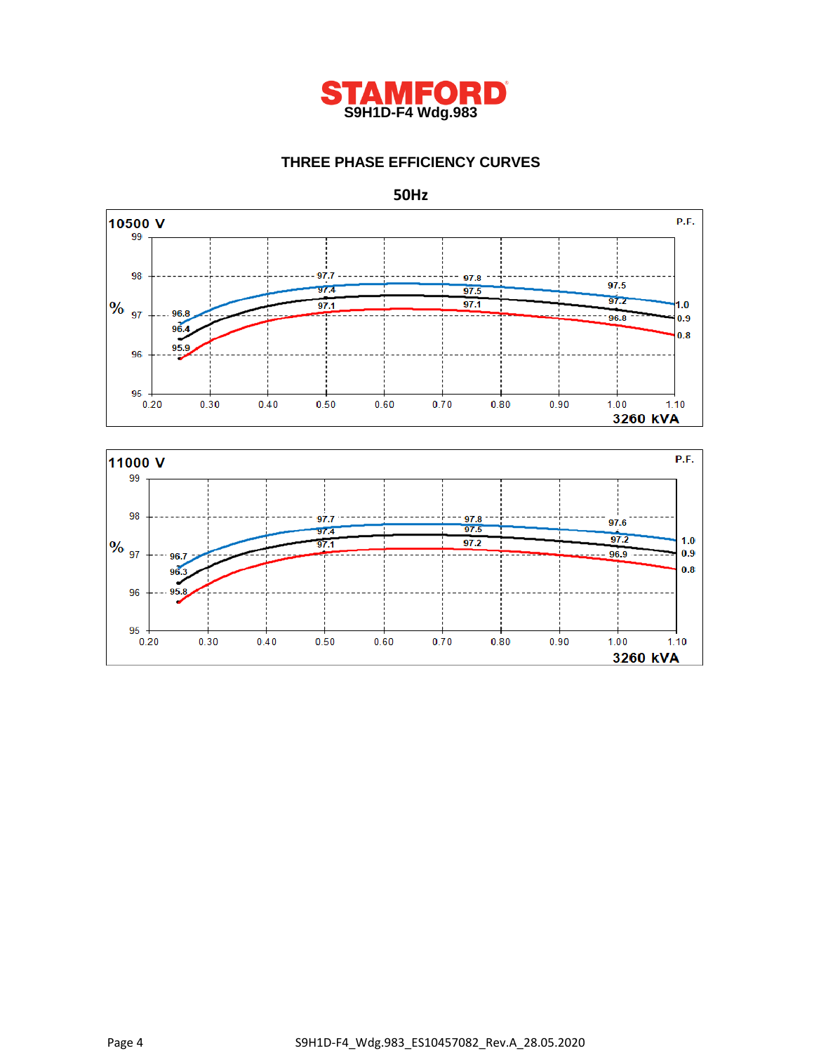

# **THREE PHASE EFFICIENCY CURVES**

**50Hz**



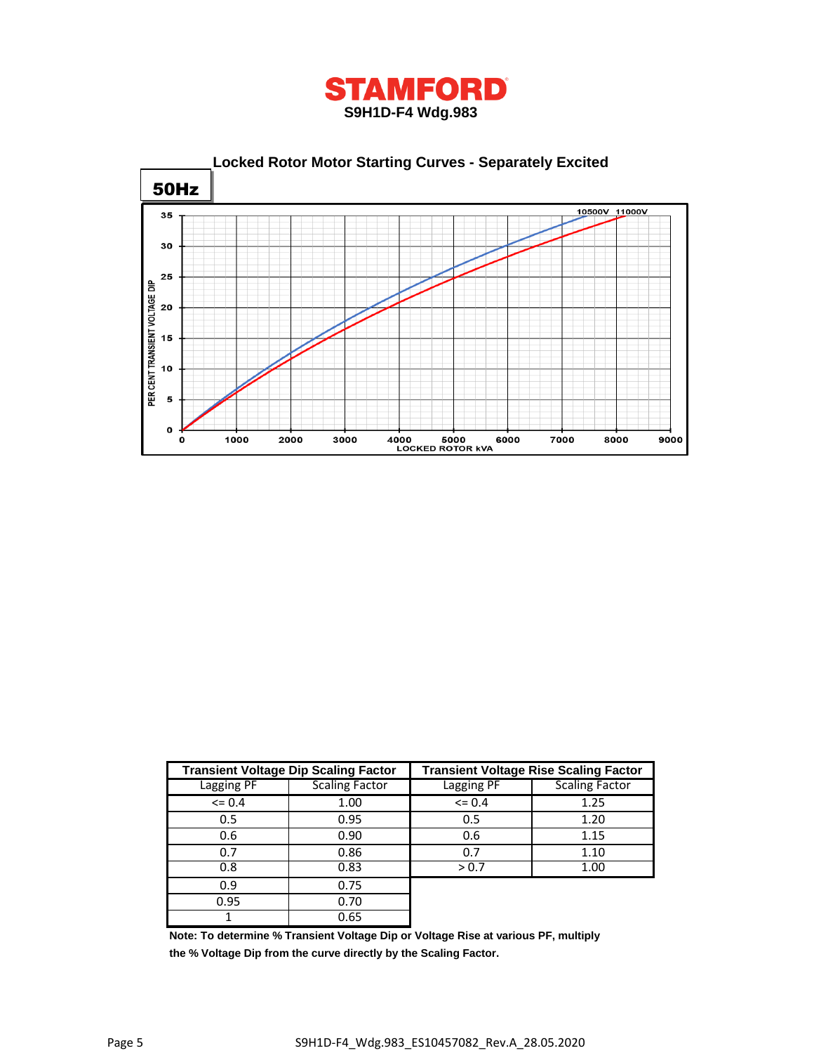



|            | <b>Transient Voltage Dip Scaling Factor</b> | <b>Transient Voltage Rise Scaling Factor</b> |                       |  |  |
|------------|---------------------------------------------|----------------------------------------------|-----------------------|--|--|
| Lagging PF | <b>Scaling Factor</b>                       | Lagging PF                                   | <b>Scaling Factor</b> |  |  |
| $\leq 0.4$ | 1.00                                        | $\leq$ 0.4                                   | 1.25                  |  |  |
| 0.5        | 0.95<br>0.5                                 |                                              | 1.20                  |  |  |
| 0.6        | 0.90                                        | 0.6                                          | 1.15                  |  |  |
| 0.7        | 0.86                                        | 0.7                                          | 1.10                  |  |  |
| 0.8        | 0.83                                        | > 0.7                                        | 1.00                  |  |  |
| 0.9        | 0.75                                        |                                              |                       |  |  |
| 0.95       | 0.70                                        |                                              |                       |  |  |
|            | 0.65                                        |                                              |                       |  |  |

**Note: To determine % Transient Voltage Dip or Voltage Rise at various PF, multiply the % Voltage Dip from the curve directly by the Scaling Factor.**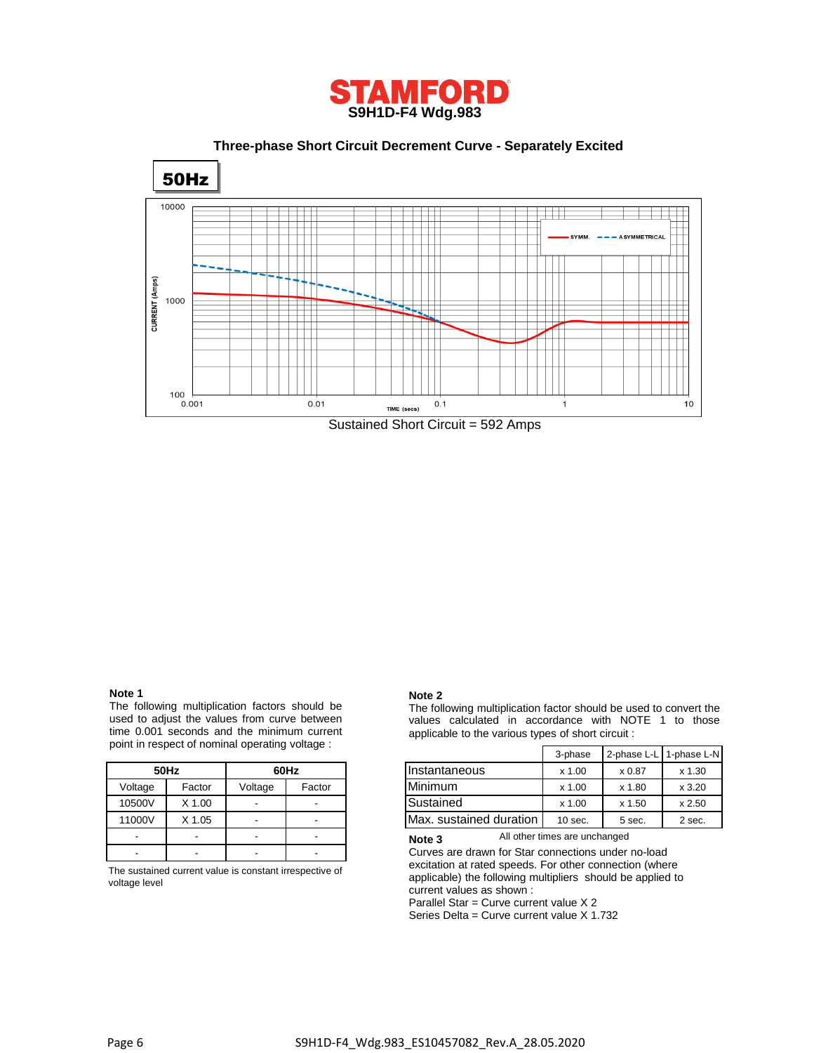

 **Three-phase Short Circuit Decrement Curve - Separately Excited**



#### **Note 1**

The following multiplication factors should be used to adjust the values from curve between time 0.001 seconds and the minimum current point in respect of nominal operating voltage :

|         | 50Hz   | 60Hz    |        |  |
|---------|--------|---------|--------|--|
| Voltage | Factor | Voltage | Factor |  |
| 10500V  | X 1.00 |         |        |  |
| 11000V  | X 1.05 |         |        |  |
|         |        |         |        |  |
|         |        |         |        |  |

The sustained current value is constant irrespective of voltage level

#### **Note 2**

The following multiplication factor should be used to convert the values calculated in accordance with NOTE 1 to those applicable to the various types of short circuit :

|         | int in respect of norminal operating voltage. |                          |                          |                         | 3-phase   | 2-phase L-L   1-phase L-N |          |
|---------|-----------------------------------------------|--------------------------|--------------------------|-------------------------|-----------|---------------------------|----------|
|         | 50Hz                                          |                          | 60Hz                     | Instantaneous           | $x$ 1.00  | x 0.87                    | $x$ 1.30 |
| Voltage | Factor                                        | Voltage                  | Factor                   | <b>Minimum</b>          | x 1.00    | x 1.80                    | x3.20    |
| 10500V  | X 1.00                                        |                          | $\overline{\phantom{a}}$ | Sustained               | x 1.00    | $x$ 1.50                  | x 2.50   |
| 11000V  | X 1.05                                        | $\overline{\phantom{a}}$ | $\overline{\phantom{a}}$ | Max. sustained duration | $10$ sec. | 5 sec.                    | 2 sec.   |

All other times are unchanged **Note 3**

Curves are drawn for Star connections under no-load excitation at rated speeds. For other connection (where applicable) the following multipliers should be applied to current values as shown :

Parallel Star = Curve current value X 2

Series Delta = Curve current value X 1.732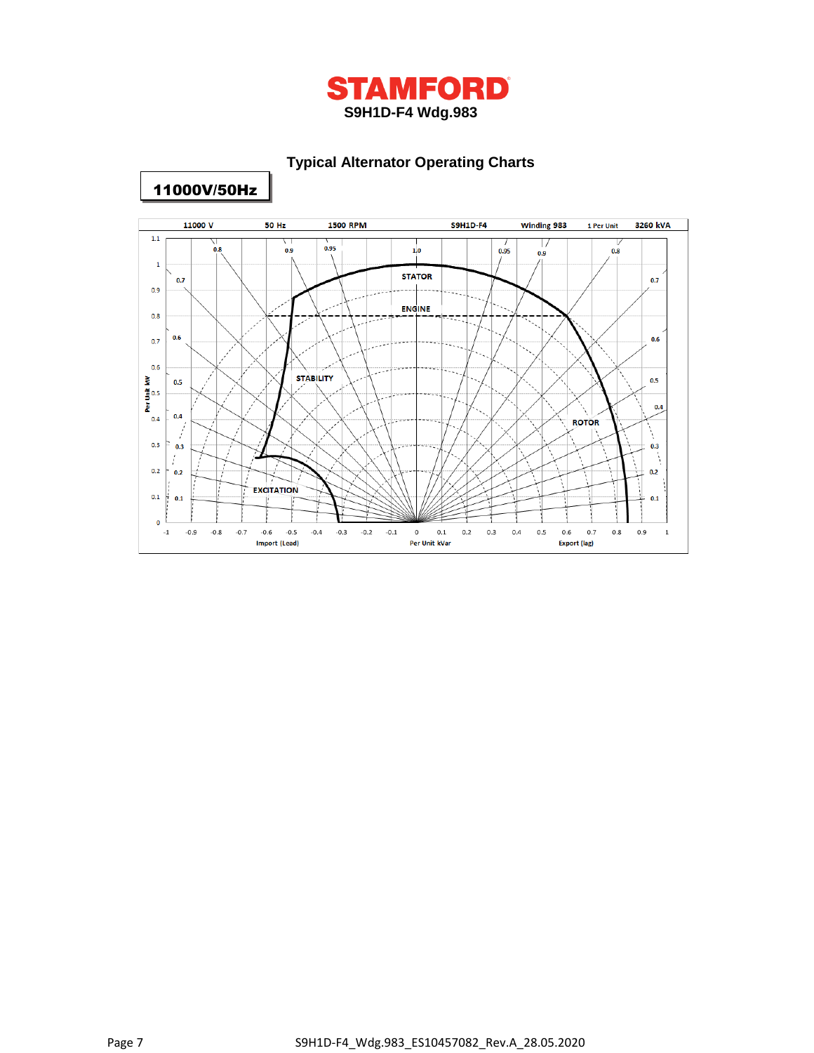

# **Typical Alternator Operating Charts**



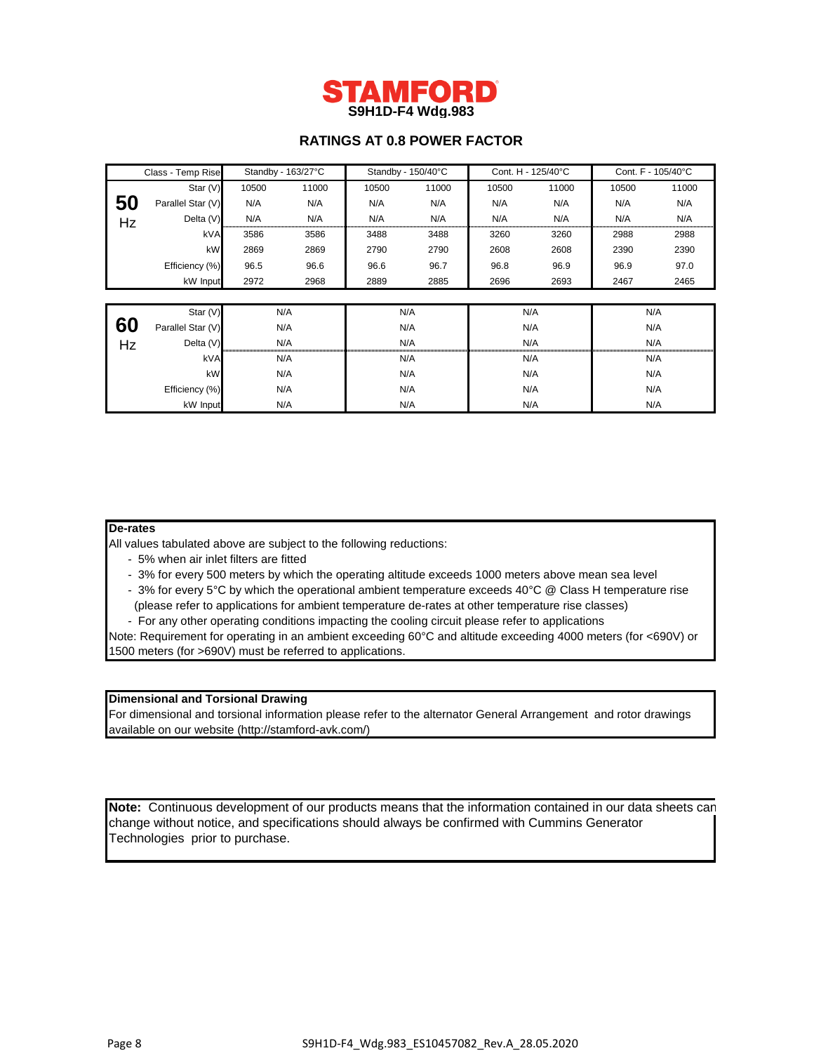

# **RATINGS AT 0.8 POWER FACTOR**

|    | Standby - 163/27°C<br>Class - Temp Rise |       | Standby - 150/40°C |       | Cont. H - 125/40°C |       | Cont. F - 105/40°C |       |       |  |
|----|-----------------------------------------|-------|--------------------|-------|--------------------|-------|--------------------|-------|-------|--|
|    | Star (V)                                | 10500 | 11000              | 10500 | 11000              | 10500 | 11000              | 10500 | 11000 |  |
| 50 | Parallel Star (V)                       | N/A   | N/A                | N/A   | N/A                | N/A   | N/A                | N/A   | N/A   |  |
| Hz | Delta (V)                               | N/A   | N/A                | N/A   | N/A                | N/A   | N/A                | N/A   | N/A   |  |
|    | kVA                                     | 3586  | 3586               | 3488  | 3488               | 3260  | 3260               | 2988  | 2988  |  |
|    | kW                                      | 2869  | 2869               | 2790  | 2790               | 2608  | 2608               | 2390  | 2390  |  |
|    | Efficiency (%)                          | 96.5  | 96.6               | 96.6  | 96.7               | 96.8  | 96.9               | 96.9  | 97.0  |  |
|    | kW Input                                | 2972  | 2968               | 2889  | 2885               | 2696  | 2693               | 2467  | 2465  |  |
|    |                                         |       |                    |       |                    |       |                    |       |       |  |
|    | Star $(V)$                              |       | N/A                | N/A   |                    | N/A   |                    |       | N/A   |  |
| 60 | Parallel Star (V)                       |       | N/A                | N/A   |                    | N/A   |                    | N/A   |       |  |
| Hz | Delta (V)                               |       | N/A                |       | N/A                |       | N/A                |       | N/A   |  |
|    | kVA                                     | N/A   |                    | N/A   |                    | N/A   |                    | N/A   |       |  |
|    | kW                                      | N/A   |                    | N/A   |                    | N/A   |                    | N/A   |       |  |
|    | Efficiency (%)                          | N/A   |                    | N/A   |                    | N/A   |                    | N/A   |       |  |
|    | kW Input                                |       | N/A                | N/A   |                    | N/A   |                    | N/A   |       |  |

### **De-rates**

All values tabulated above are subject to the following reductions:

- 5% when air inlet filters are fitted
- 3% for every 500 meters by which the operating altitude exceeds 1000 meters above mean sea level
- 3% for every 5°C by which the operational ambient temperature exceeds 40°C @ Class H temperature rise (please refer to applications for ambient temperature de-rates at other temperature rise classes)
- For any other operating conditions impacting the cooling circuit please refer to applications

Note: Requirement for operating in an ambient exceeding 60°C and altitude exceeding 4000 meters (for <690V) or 1500 meters (for >690V) must be referred to applications.

# **Dimensional and Torsional Drawing**

For dimensional and torsional information please refer to the alternator General Arrangement and rotor drawings available on our website (http://stamford-avk.com/)

**Note:** Continuous development of our products means that the information contained in our data sheets can change without notice, and specifications should always be confirmed with Cummins Generator Technologies prior to purchase.